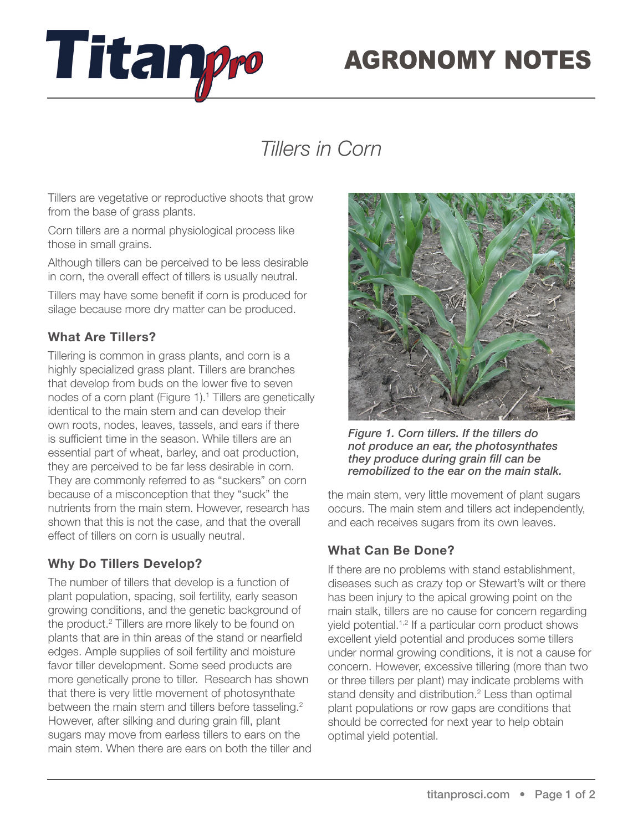

# AGRONOMY NOTES

# *Tillers in Corn*

Tillers are vegetative or reproductive shoots that grow from the base of grass plants.

Corn tillers are a normal physiological process like those in small grains.

Although tillers can be perceived to be less desirable in corn, the overall effect of tillers is usually neutral.

Tillers may have some benefit if corn is produced for silage because more dry matter can be produced.

### **What Are Tillers?**

Tillering is common in grass plants, and corn is a highly specialized grass plant. Tillers are branches that develop from buds on the lower five to seven nodes of a corn plant (Figure 1).<sup>1</sup> Tillers are genetically identical to the main stem and can develop their own roots, nodes, leaves, tassels, and ears if there is sufficient time in the season. While tillers are an essential part of wheat, barley, and oat production, they are perceived to be far less desirable in corn. They are commonly referred to as "suckers" on corn because of a misconception that they "suck" the nutrients from the main stem. However, research has shown that this is not the case, and that the overall effect of tillers on corn is usually neutral.

### **Why Do Tillers Develop?**

The number of tillers that develop is a function of plant population, spacing, soil fertility, early season growing conditions, and the genetic background of the product.<sup>2</sup> Tillers are more likely to be found on plants that are in thin areas of the stand or nearfield edges. Ample supplies of soil fertility and moisture favor tiller development. Some seed products are more genetically prone to tiller. Research has shown that there is very little movement of photosynthate between the main stem and tillers before tasseling.<sup>2</sup> However, after silking and during grain fill, plant sugars may move from earless tillers to ears on the main stem. When there are ears on both the tiller and



*Figure 1. Corn tillers. If the tillers do not produce an ear, the photosynthates they produce during grain fill can be remobilized to the ear on the main stalk.*

the main stem, very little movement of plant sugars occurs. The main stem and tillers act independently, and each receives sugars from its own leaves.

### **What Can Be Done?**

If there are no problems with stand establishment, diseases such as crazy top or Stewart's wilt or there has been injury to the apical growing point on the main stalk, tillers are no cause for concern regarding yield potential.<sup>1,2</sup> If a particular corn product shows excellent yield potential and produces some tillers under normal growing conditions, it is not a cause for concern. However, excessive tillering (more than two or three tillers per plant) may indicate problems with stand density and distribution.<sup>2</sup> Less than optimal plant populations or row gaps are conditions that should be corrected for next year to help obtain optimal yield potential.